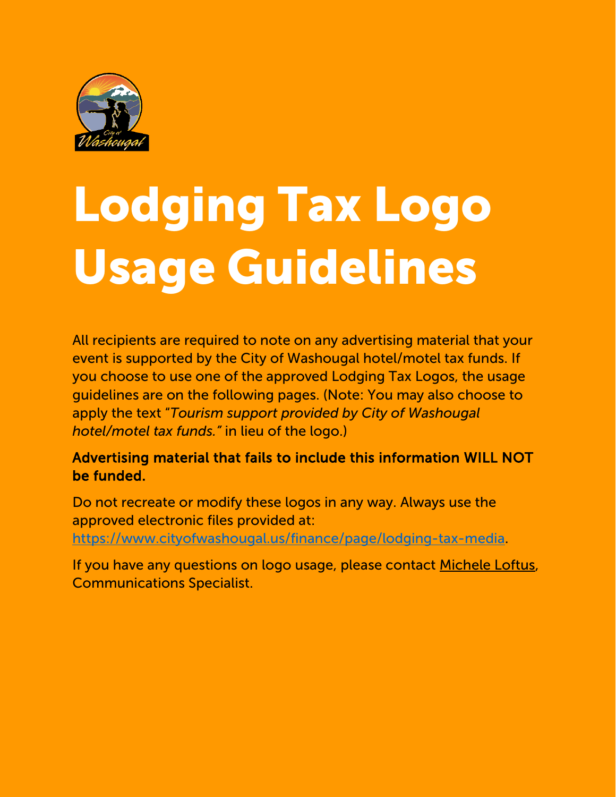

# Lodging Tax Logo Usage Guidelines

All recipients are required to note on any advertising material that your event is supported by the City of Washougal hotel/motel tax funds. If you choose to use one of the approved Lodging Tax Logos, the usage guidelines are on the following pages. (Note: You may also choose to apply the text "*Tourism support provided by City of Washougal hotel/motel tax funds."* in lieu of the logo.)

## Advertising material that fails to include this information WILL NOT be funded.

Do not recreate or modify these logos in any way. Always use the approved electronic files provided at: [https://www.cityofwashougal.us/finance/page/lodging-tax-media.](https://www.cityofwashougal.us/finance/page/lodging-tax-media)

If you have any questions on logo usage, please contact [Michele Loftus,](mailto:%20michele.loftus@cityofwashougal.us) Communications Specialist.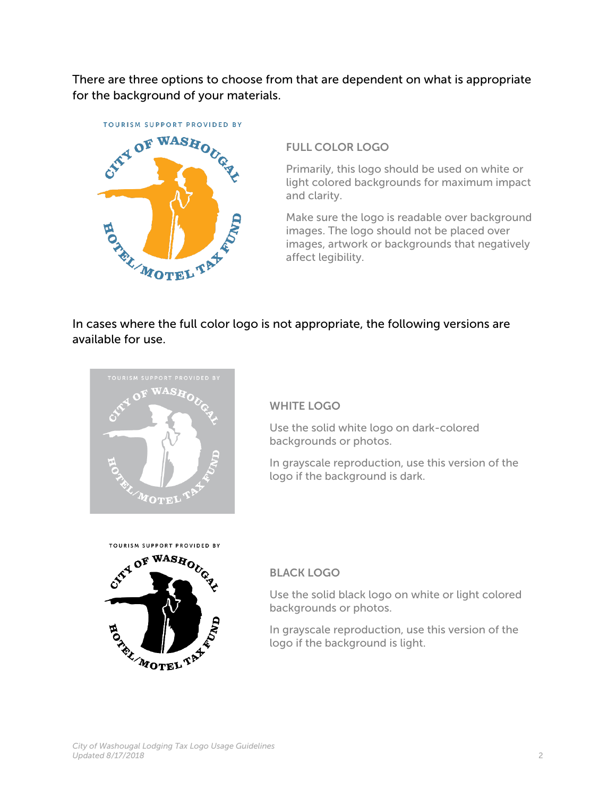There are three options to choose from that are dependent on what is appropriate for the background of your materials.



#### FULL COLOR LOGO

Primarily, this logo should be used on white or light colored backgrounds for maximum impact and clarity.

Make sure the logo is readable over background images. The logo should not be placed over images, artwork or backgrounds that negatively affect legibility.

In cases where the full color logo is not appropriate, the following versions are available for use.



#### WHITE LOGO

Use the solid white logo on dark-colored backgrounds or photos.

In grayscale reproduction, use this version of the logo if the background is dark.



#### BLACK LOGO

Use the solid black logo on white or light colored backgrounds or photos.

In grayscale reproduction, use this version of the logo if the background is light.